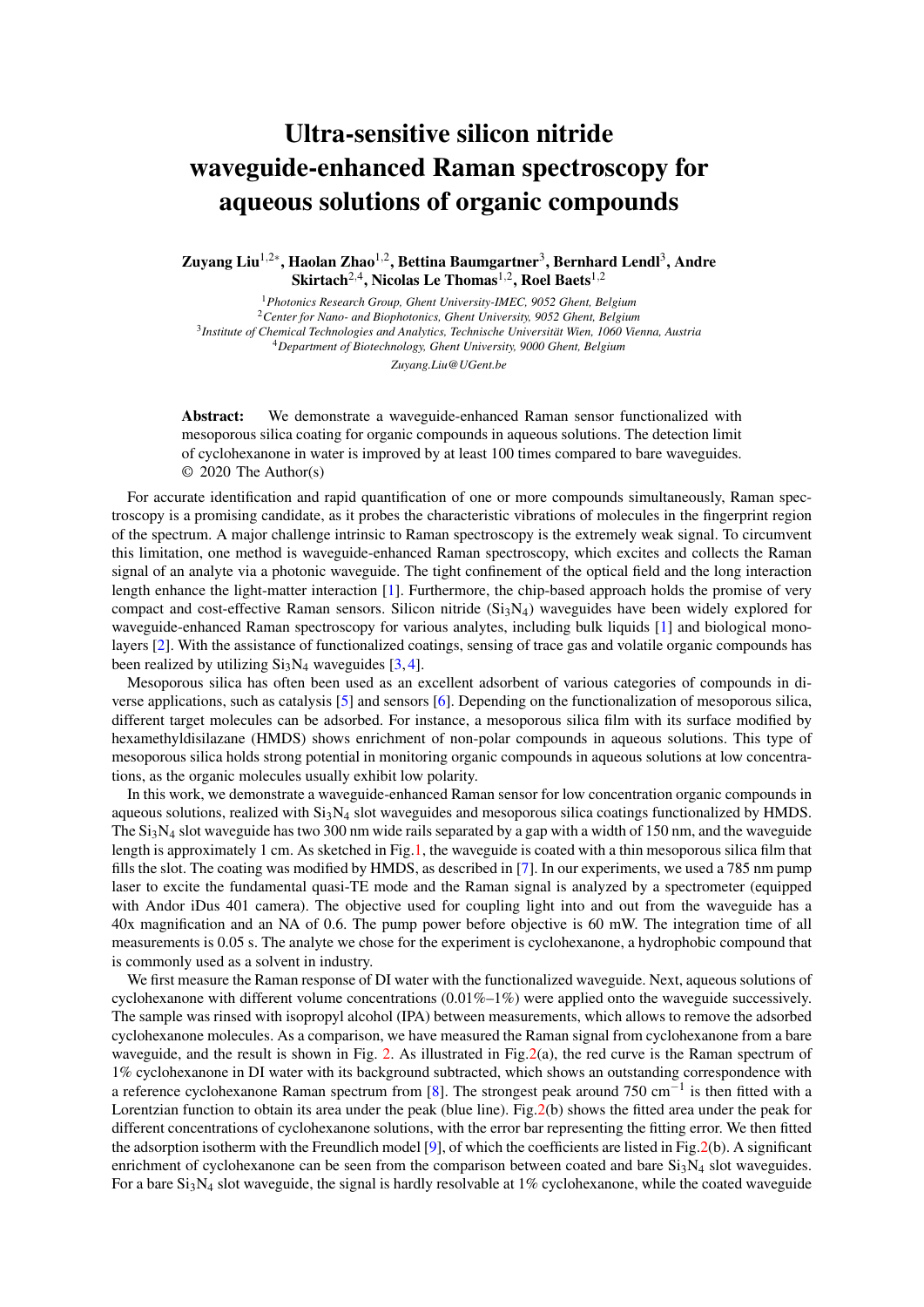## Ultra-sensitive silicon nitride waveguide-enhanced Raman spectroscopy for aqueous solutions of organic compounds

Zuyang Liu<sup>1,2∗</sup>, Haolan Zhao<sup>1,2</sup>, Bettina Baumgartner<sup>3</sup>, Bernhard Lendl<sup>3</sup>, Andre  $\text{Skirtach}^{2,4}$ , Nicolas Le Thomas<sup>1,2</sup>, Roel Baets<sup>1,2</sup>

*Photonics Research Group, Ghent University-IMEC, 9052 Ghent, Belgium Center for Nano- and Biophotonics, Ghent University, 9052 Ghent, Belgium Institute of Chemical Technologies and Analytics, Technische Universitat Wien, 1060 Vienna, Austria ¨ Department of Biotechnology, Ghent University, 9000 Ghent, Belgium Zuyang.Liu@UGent.be*

Abstract: We demonstrate a waveguide-enhanced Raman sensor functionalized with mesoporous silica coating for organic compounds in aqueous solutions. The detection limit of cyclohexanone in water is improved by at least 100 times compared to bare waveguides. © 2020 The Author(s)

For accurate identification and rapid quantification of one or more compounds simultaneously, Raman spectroscopy is a promising candidate, as it probes the characteristic vibrations of molecules in the fingerprint region of the spectrum. A major challenge intrinsic to Raman spectroscopy is the extremely weak signal. To circumvent this limitation, one method is waveguide-enhanced Raman spectroscopy, which excites and collects the Raman signal of an analyte via a photonic waveguide. The tight confinement of the optical field and the long interaction length enhance the light-matter interaction [\[1\]](#page-1-0). Furthermore, the chip-based approach holds the promise of very compact and cost-effective Raman sensors. Silicon nitride  $(Si<sub>3</sub>N<sub>4</sub>)$  waveguides have been widely explored for waveguide-enhanced Raman spectroscopy for various analytes, including bulk liquids [\[1\]](#page-1-0) and biological monolayers [\[2\]](#page-1-1). With the assistance of functionalized coatings, sensing of trace gas and volatile organic compounds has been realized by utilizing  $Si<sub>3</sub>N<sub>4</sub>$  waveguides [\[3,](#page-1-2) [4\]](#page-1-3).

Mesoporous silica has often been used as an excellent adsorbent of various categories of compounds in diverse applications, such as catalysis [\[5\]](#page-1-4) and sensors [\[6\]](#page-1-5). Depending on the functionalization of mesoporous silica, different target molecules can be adsorbed. For instance, a mesoporous silica film with its surface modified by hexamethyldisilazane (HMDS) shows enrichment of non-polar compounds in aqueous solutions. This type of mesoporous silica holds strong potential in monitoring organic compounds in aqueous solutions at low concentrations, as the organic molecules usually exhibit low polarity.

In this work, we demonstrate a waveguide-enhanced Raman sensor for low concentration organic compounds in aqueous solutions, realized with  $Si<sub>3</sub>N<sub>4</sub>$  slot waveguides and mesoporous silica coatings functionalized by HMDS. The  $Si<sub>3</sub>N<sub>4</sub>$  slot waveguide has two 300 nm wide rails separated by a gap with a width of 150 nm, and the waveguide length is approximately 1 cm. As sketched in Fig[.1,](#page-1-6) the waveguide is coated with a thin mesoporous silica film that fills the slot. The coating was modified by HMDS, as described in [\[7\]](#page-1-7). In our experiments, we used a 785 nm pump laser to excite the fundamental quasi-TE mode and the Raman signal is analyzed by a spectrometer (equipped with Andor iDus 401 camera). The objective used for coupling light into and out from the waveguide has a 40x magnification and an NA of 0.6. The pump power before objective is 60 mW. The integration time of all measurements is 0.05 s. The analyte we chose for the experiment is cyclohexanone, a hydrophobic compound that is commonly used as a solvent in industry.

We first measure the Raman response of DI water with the functionalized waveguide. Next, aqueous solutions of cyclohexanone with different volume concentrations  $(0.01\%-1\%)$  were applied onto the waveguide successively. The sample was rinsed with isopropyl alcohol (IPA) between measurements, which allows to remove the adsorbed cyclohexanone molecules. As a comparison, we have measured the Raman signal from cyclohexanone from a bare waveguide, and the result is shown in Fig. [2.](#page-1-8) As illustrated in Fig. 2(a), the red curve is the Raman spectrum of 1% cyclohexanone in DI water with its background subtracted, which shows an outstanding correspondence with a reference cyclohexanone Raman spectrum from [\[8\]](#page-1-9). The strongest peak around 750 cm<sup>-1</sup> is then fitted with a Lorentzian function to obtain its area under the peak (blue line). Fig[.2\(](#page-1-8)b) shows the fitted area under the peak for different concentrations of cyclohexanone solutions, with the error bar representing the fitting error. We then fitted the adsorption isotherm with the Freundlich model [\[9\]](#page-1-10), of which the coefficients are listed in Fig[.2\(](#page-1-8)b). A significant enrichment of cyclohexanone can be seen from the comparison between coated and bare  $Si<sub>3</sub>N<sub>4</sub>$  slot waveguides. For a bare  $Si<sub>3</sub>N<sub>4</sub>$  slot waveguide, the signal is hardly resolvable at 1% cyclohexanone, while the coated waveguide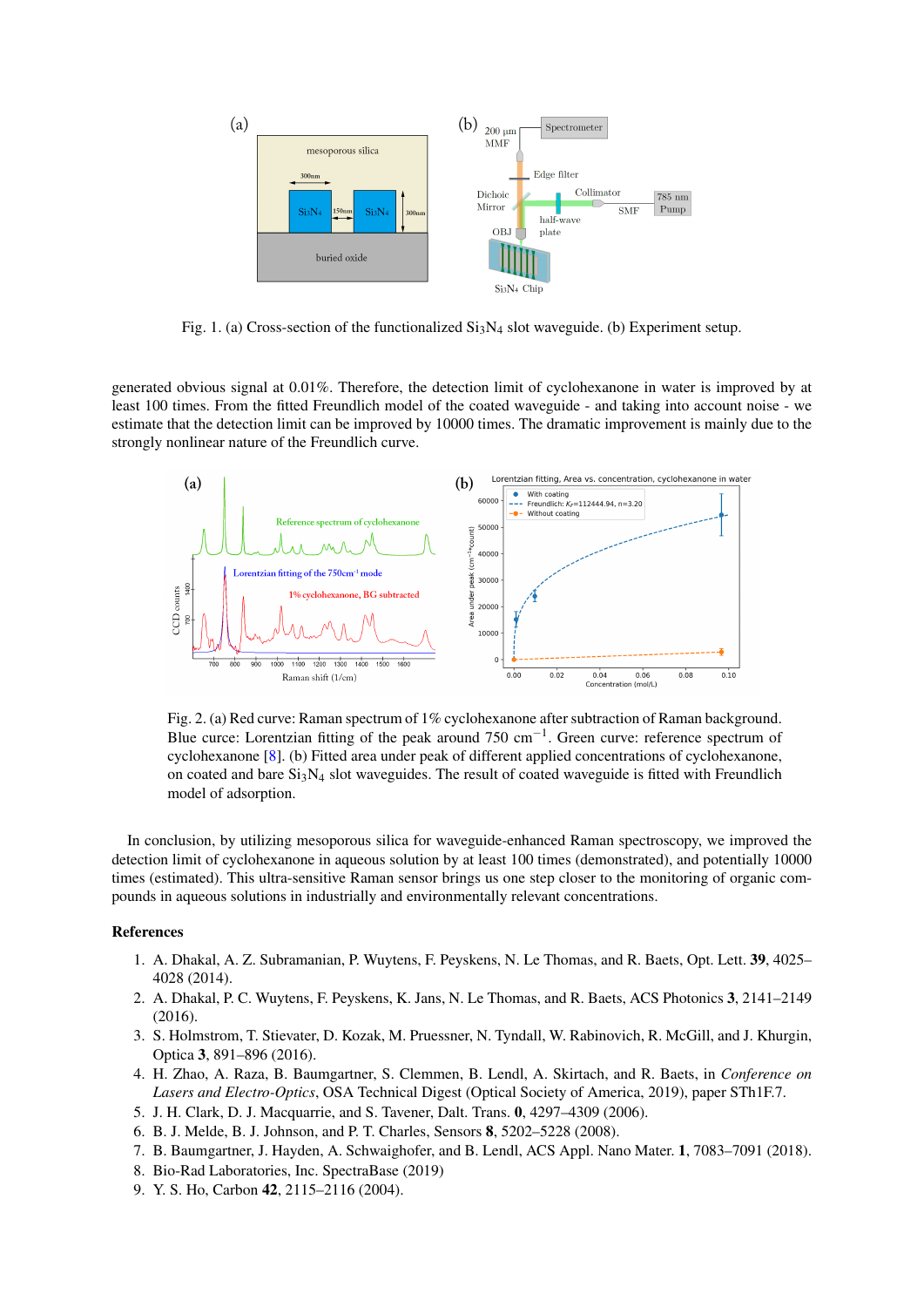

<span id="page-1-6"></span>Fig. 1. (a) Cross-section of the functionalized  $Si<sub>3</sub>N<sub>4</sub>$  slot waveguide. (b) Experiment setup.

generated obvious signal at 0.01%. Therefore, the detection limit of cyclohexanone in water is improved by at least 100 times. From the fitted Freundlich model of the coated waveguide - and taking into account noise - we estimate that the detection limit can be improved by 10000 times. The dramatic improvement is mainly due to the strongly nonlinear nature of the Freundlich curve.



<span id="page-1-8"></span>Fig. 2. (a) Red curve: Raman spectrum of 1% cyclohexanone after subtraction of Raman background. Blue curce: Lorentzian fitting of the peak around  $750 \text{ cm}^{-1}$ . Green curve: reference spectrum of cyclohexanone [\[8\]](#page-1-9). (b) Fitted area under peak of different applied concentrations of cyclohexanone, on coated and bare  $Si_3N_4$  slot waveguides. The result of coated waveguide is fitted with Freundlich model of adsorption.

In conclusion, by utilizing mesoporous silica for waveguide-enhanced Raman spectroscopy, we improved the detection limit of cyclohexanone in aqueous solution by at least 100 times (demonstrated), and potentially 10000 times (estimated). This ultra-sensitive Raman sensor brings us one step closer to the monitoring of organic compounds in aqueous solutions in industrially and environmentally relevant concentrations.

## <span id="page-1-0"></span>References

- 1. A. Dhakal, A. Z. Subramanian, P. Wuytens, F. Peyskens, N. Le Thomas, and R. Baets, Opt. Lett. 39, 4025– 4028 (2014).
- <span id="page-1-1"></span>2. A. Dhakal, P. C. Wuytens, F. Peyskens, K. Jans, N. Le Thomas, and R. Baets, ACS Photonics 3, 2141–2149 (2016).
- <span id="page-1-2"></span>3. S. Holmstrom, T. Stievater, D. Kozak, M. Pruessner, N. Tyndall, W. Rabinovich, R. McGill, and J. Khurgin, Optica 3, 891–896 (2016).
- <span id="page-1-3"></span>4. H. Zhao, A. Raza, B. Baumgartner, S. Clemmen, B. Lendl, A. Skirtach, and R. Baets, in *Conference on Lasers and Electro-Optics*, OSA Technical Digest (Optical Society of America, 2019), paper STh1F.7.
- <span id="page-1-4"></span>5. J. H. Clark, D. J. Macquarrie, and S. Tavener, Dalt. Trans. 0, 4297–4309 (2006).
- <span id="page-1-5"></span>6. B. J. Melde, B. J. Johnson, and P. T. Charles, Sensors 8, 5202–5228 (2008).
- <span id="page-1-7"></span>7. B. Baumgartner, J. Hayden, A. Schwaighofer, and B. Lendl, ACS Appl. Nano Mater. 1, 7083–7091 (2018).
- <span id="page-1-9"></span>8. Bio-Rad Laboratories, Inc. SpectraBase (2019)
- <span id="page-1-10"></span>9. Y. S. Ho, Carbon 42, 2115–2116 (2004).